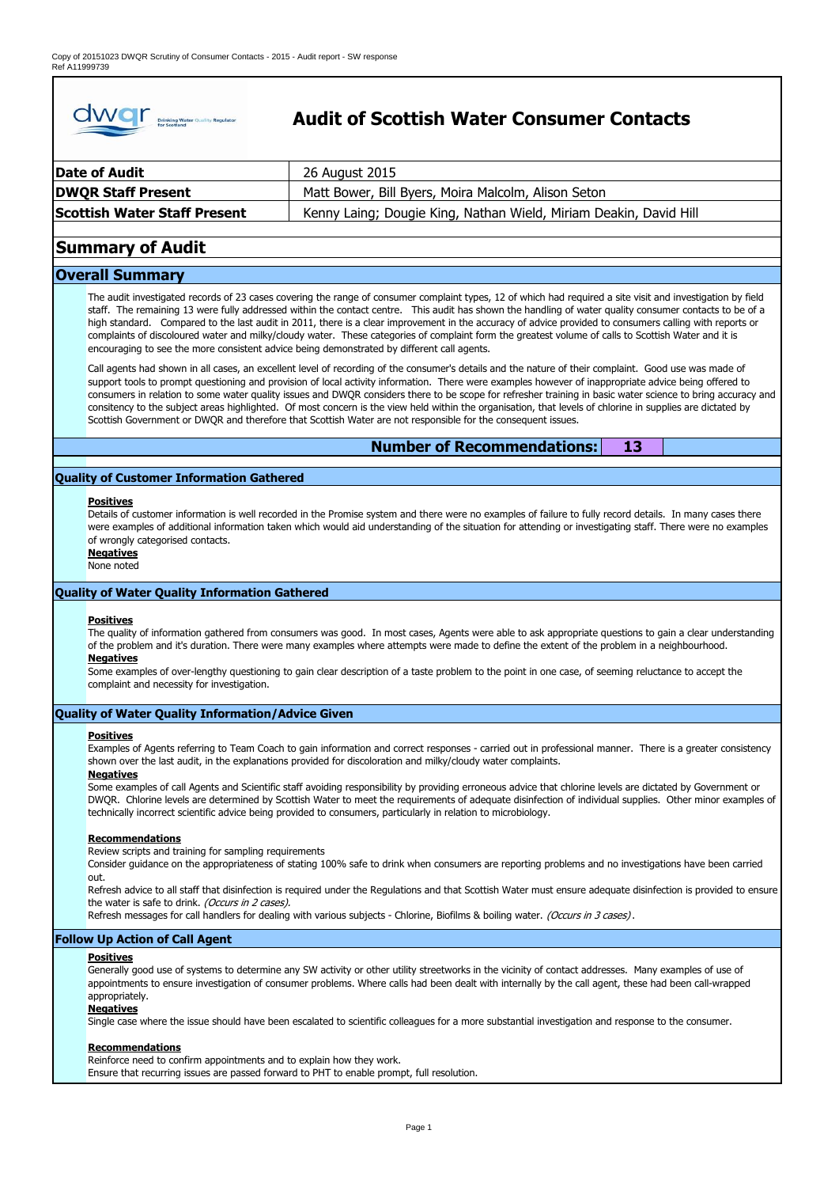

# **Audit of Scottish Water Consumer Contacts**

| Date of Audit                       | 26 August 2015                                                    |
|-------------------------------------|-------------------------------------------------------------------|
| <b>DWQR Staff Present</b>           | Matt Bower, Bill Byers, Moira Malcolm, Alison Seton               |
| <b>Scottish Water Staff Present</b> | Kenny Laing; Dougie King, Nathan Wield, Miriam Deakin, David Hill |

# **Summary of Audit**

# **Overall Summary**

The audit investigated records of 23 cases covering the range of consumer complaint types, 12 of which had required a site visit and investigation by field staff. The remaining 13 were fully addressed within the contact centre. This audit has shown the handling of water quality consumer contacts to be of a high standard. Compared to the last audit in 2011, there is a clear improvement in the accuracy of advice provided to consumers calling with reports or complaints of discoloured water and milky/cloudy water. These categories of complaint form the greatest volume of calls to Scottish Water and it is encouraging to see the more consistent advice being demonstrated by different call agents.

Call agents had shown in all cases, an excellent level of recording of the consumer's details and the nature of their complaint. Good use was made of support tools to prompt questioning and provision of local activity information. There were examples however of inappropriate advice being offered to consumers in relation to some water quality issues and DWQR considers there to be scope for refresher training in basic water science to bring accuracy and consitency to the subject areas highlighted. Of most concern is the view held within the organisation, that levels of chlorine in supplies are dictated by Scottish Government or DWQR and therefore that Scottish Water are not responsible for the consequent issues.

> **13 Number of Recommendations:**

# **Quality of Customer Information Gathered**

# **Positives**

Details of customer information is well recorded in the Promise system and there were no examples of failure to fully record details. In many cases there were examples of additional information taken which would aid understanding of the situation for attending or investigating staff. There were no examples of wrongly categorised contacts.

**Negatives** None noted

# **Quality of Water Quality Information Gathered**

# **Positives**

The quality of information gathered from consumers was good. In most cases, Agents were able to ask appropriate questions to gain a clear understanding of the problem and it's duration. There were many examples where attempts were made to define the extent of the problem in a neighbourhood.

# **Negatives**

Some examples of over-lengthy questioning to gain clear description of a taste problem to the point in one case, of seeming reluctance to accept the complaint and necessity for investigation.

# **Quality of Water Quality Information/Advice Given**

# **Positives**

Examples of Agents referring to Team Coach to gain information and correct responses - carried out in professional manner. There is a greater consistency shown over the last audit, in the explanations provided for discoloration and milky/cloudy water complaints.

# **Negatives**

Some examples of call Agents and Scientific staff avoiding responsibility by providing erroneous advice that chlorine levels are dictated by Government or DWQR. Chlorine levels are determined by Scottish Water to meet the requirements of adequate disinfection of individual supplies. Other minor examples of technically incorrect scientific advice being provided to consumers, particularly in relation to microbiology.

# **Recommendations**

Review scripts and training for sampling requirements

Consider guidance on the appropriateness of stating 100% safe to drink when consumers are reporting problems and no investigations have been carried out.

Refresh advice to all staff that disinfection is required under the Regulations and that Scottish Water must ensure adequate disinfection is provided to ensure the water is safe to drink. (Occurs in 2 cases).

Refresh messages for call handlers for dealing with various subjects - Chlorine, Biofilms & boiling water. (Occurs in 3 cases).

# **Follow Up Action of Call Agent**

# **Positives**

Generally good use of systems to determine any SW activity or other utility streetworks in the vicinity of contact addresses. Many examples of use of appointments to ensure investigation of consumer problems. Where calls had been dealt with internally by the call agent, these had been call-wrapped appropriately.

# **Negatives**

Single case where the issue should have been escalated to scientific colleagues for a more substantial investigation and response to the consumer.

# **Recommendations**

Reinforce need to confirm appointments and to explain how they work. Ensure that recurring issues are passed forward to PHT to enable prompt, full resolution.